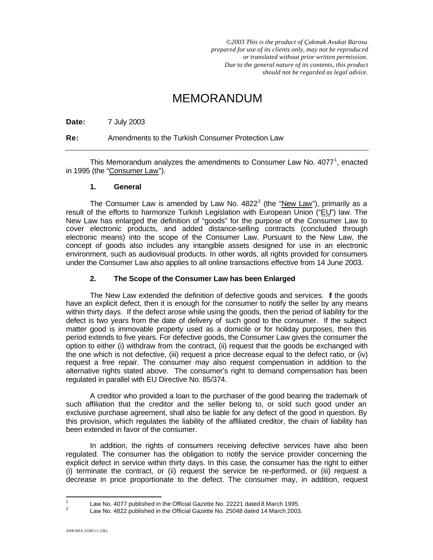*©2003 This is the product of Çakmak Avukat Bürosu prepared for use of its clients only, may not be reproduced or translated without prior written permission. Due to the general nature of its contents, this product should not be regarded as legal advice.*

# MEMORANDUM

**Date:** 7 July 2003

**Re:** Amendments to the Turkish Consumer Protection Law

This Memorandum analyzes the amendments to Consumer Law No.  $4077<sup>1</sup>$ , enacted in 1995 (the "Consumer Law").

#### **1. General**

The Consumer Law is amended by Law No.  $4822<sup>2</sup>$  (the "New Law"), primarily as a result of the efforts to harmonize Turkish Legislation with European Union ("EU") law. The New Law has enlarged the definition of "goods" for the purpose of the Consumer Law to cover electronic products, and added distance-selling contracts (concluded through electronic means) into the scope of the Consumer Law. Pursuant to the New Law, the concept of goods also includes any intangible assets designed for use in an electronic environment, such as audiovisual products. In other words, all rights provided for consumers under the Consumer Law also applies to all online transactions effective from 14 June 2003.

## **2. The Scope of the Consumer Law has been Enlarged**

The New Law extended the definition of defective goods and services. If the goods have an explicit defect, then it is enough for the consumer to notify the seller by any means within thirty days. If the defect arose while using the goods, then the period of liability for the defect is two years from the date of delivery of such good to the consumer. If the subject matter good is immovable property used as a domicile or for holiday purposes, then this period extends to five years. For defective goods, the Consumer Law gives the consumer the option to either (i) withdraw from the contract, (ii) request that the goods be exchanged with the one which is not defective, (iii) request a price decrease equal to the defect ratio, or (iv) request a free repair. The consumer may also request compensation in addition to the alternative rights stated above. The consumer's right to demand compensation has been regulated in parallel with EU Directive No. 85/374.

A creditor who provided a loan to the purchaser of the good bearing the trademark of such affiliation that the creditor and the seller belong to, or sold such good under an exclusive purchase agreement, shall also be liable for any defect of the good in question. By this provision, which regulates the liability of the affiliated creditor, the chain of liability has been extended in favor of the consumer.

In addition, the rights of consumers receiving defective services have also been regulated. The consumer has the obligation to notify the service provider concerning the explicit defect in service within thirty days. In this case, the consumer has the right to either (i) terminate the contract, or (ii) request the service be re-performed, or (iii) request a decrease in price proportionate to the defect. The consumer may, in addition, request

<sup>&</sup>lt;sup>1</sup> Law No. 4077 published in the Official Gazette No. 22221 dated 8 March 1995.<br><sup>2</sup> Law No. 4822 published in the Official Gazette No. 25048 dated 14 March 2003.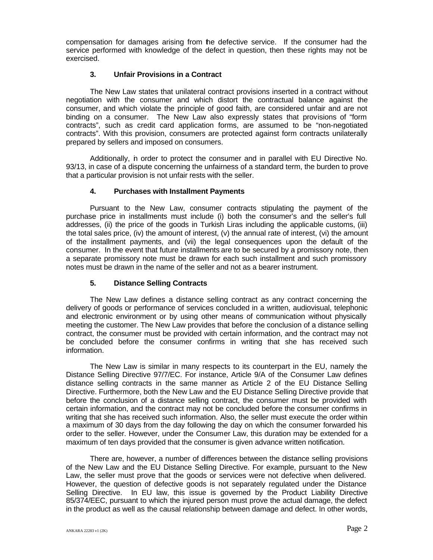compensation for damages arising from the defective service. If the consumer had the service performed with knowledge of the defect in question, then these rights may not be exercised.

## **3. Unfair Provisions in a Contract**

The New Law states that unilateral contract provisions inserted in a contract without negotiation with the consumer and which distort the contractual balance against the consumer, and which violate the principle of good faith, are considered unfair and are not binding on a consumer. The New Law also expressly states that provisions of "form contracts", such as credit card application forms, are assumed to be "non-negotiated contracts". With this provision, consumers are protected against form contracts unilaterally prepared by sellers and imposed on consumers.

Additionally, in order to protect the consumer and in parallel with EU Directive No. 93/13, in case of a dispute concerning the unfairness of a standard term, the burden to prove that a particular provision is not unfair rests with the seller.

# **4. Purchases with Installment Payments**

Pursuant to the New Law, consumer contracts stipulating the payment of the purchase price in installments must include (i) both the consumer's and the seller's full addresses, (ii) the price of the goods in Turkish Liras including the applicable customs, (iii) the total sales price, (iv) the amount of interest,  $(v)$  the annual rate of interest,  $(vi)$  the amount of the installment payments, and (vii) the legal consequences upon the default of the consumer. In the event that future installments are to be secured by a promissory note, then a separate promissory note must be drawn for each such installment and such promissory notes must be drawn in the name of the seller and not as a bearer instrument.

#### **5. Distance Selling Contracts**

The New Law defines a distance selling contract as any contract concerning the delivery of goods or performance of services concluded in a written, audiovisual, telephonic and electronic environment or by using other means of communication without physically meeting the customer. The New Law provides that before the conclusion of a distance selling contract, the consumer must be provided with certain information, and the contract may not be concluded before the consumer confirms in writing that she has received such information.

The New Law is similar in many respects to its counterpart in the EU, namely the Distance Selling Directive 97/7/EC. For instance, Article 9/A of the Consumer Law defines distance selling contracts in the same manner as Article 2 of the EU Distance Selling Directive. Furthermore, both the New Law and the EU Distance Selling Directive provide that before the conclusion of a distance selling contract, the consumer must be provided with certain information, and the contract may not be concluded before the consumer confirms in writing that she has received such information. Also, the seller must execute the order within a maximum of 30 days from the day following the day on which the consumer forwarded his order to the seller. However, under the Consumer Law, this duration may be extended for a maximum of ten days provided that the consumer is given advance written notification.

There are, however, a number of differences between the distance selling provisions of the New Law and the EU Distance Selling Directive. For example, pursuant to the New Law, the seller must prove that the goods or services were not defective when delivered. However, the question of defective goods is not separately regulated under the Distance Selling Directive. In EU law, this issue is governed by the Product Liability Directive 85/374/EEC, pursuant to which the injured person must prove the actual damage, the defect in the product as well as the causal relationship between damage and defect. In other words,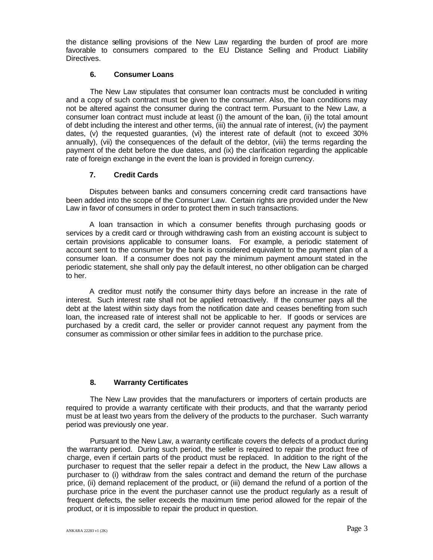the distance selling provisions of the New Law regarding the burden of proof are more favorable to consumers compared to the EU Distance Selling and Product Liability Directives.

#### **6. Consumer Loans**

The New Law stipulates that consumer loan contracts must be concluded in writing and a copy of such contract must be given to the consumer. Also, the loan conditions may not be altered against the consumer during the contract term. Pursuant to the New Law, a consumer loan contract must include at least (i) the amount of the loan, (ii) the total amount of debt including the interest and other terms, (iii) the annual rate of interest, (iv) the payment dates, (v) the requested guaranties, (vi) the interest rate of default (not to exceed 30% annually), (vii) the consequences of the default of the debtor, (viii) the terms regarding the payment of the debt before the due dates, and (ix) the clarification regarding the applicable rate of foreign exchange in the event the loan is provided in foreign currency.

#### **7. Credit Cards**

Disputes between banks and consumers concerning credit card transactions have been added into the scope of the Consumer Law. Certain rights are provided under the New Law in favor of consumers in order to protect them in such transactions.

A loan transaction in which a consumer benefits through purchasing goods or services by a credit card or through withdrawing cash from an existing account is subject to certain provisions applicable to consumer loans. For example, a periodic statement of account sent to the consumer by the bank is considered equivalent to the payment plan of a consumer loan. If a consumer does not pay the minimum payment amount stated in the periodic statement, she shall only pay the default interest, no other obligation can be charged to her.

A creditor must notify the consumer thirty days before an increase in the rate of interest. Such interest rate shall not be applied retroactively. If the consumer pays all the debt at the latest within sixty days from the notification date and ceases benefiting from such loan, the increased rate of interest shall not be applicable to her. If goods or services are purchased by a credit card, the seller or provider cannot request any payment from the consumer as commission or other similar fees in addition to the purchase price.

#### **8. Warranty Certificates**

The New Law provides that the manufacturers or importers of certain products are required to provide a warranty certificate with their products, and that the warranty period must be at least two years from the delivery of the products to the purchaser. Such warranty period was previously one year.

Pursuant to the New Law, a warranty certificate covers the defects of a product during the warranty period. During such period, the seller is required to repair the product free of charge, even if certain parts of the product must be replaced. In addition to the right of the purchaser to request that the seller repair a defect in the product, the New Law allows a purchaser to (i) withdraw from the sales contract and demand the return of the purchase price, (ii) demand replacement of the product, or (iii) demand the refund of a portion of the purchase price in the event the purchaser cannot use the product regularly as a result of frequent defects, the seller exceeds the maximum time period allowed for the repair of the product, or it is impossible to repair the product in question.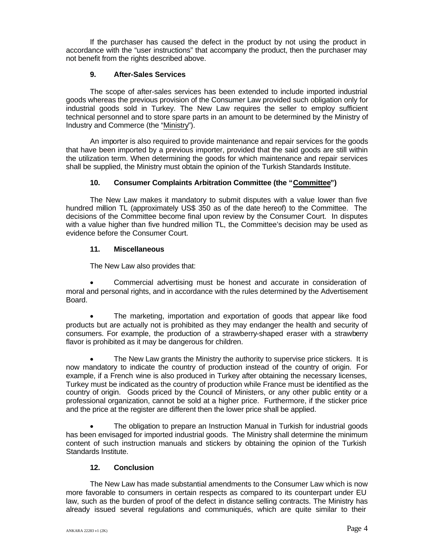If the purchaser has caused the defect in the product by not using the product in accordance with the "user instructions" that accompany the product, then the purchaser may not benefit from the rights described above.

### **9. After-Sales Services**

The scope of after-sales services has been extended to include imported industrial goods whereas the previous provision of the Consumer Law provided such obligation only for industrial goods sold in Turkey. The New Law requires the seller to employ sufficient technical personnel and to store spare parts in an amount to be determined by the Ministry of Industry and Commerce (the "Ministry").

An importer is also required to provide maintenance and repair services for the goods that have been imported by a previous importer, provided that the said goods are still within the utilization term. When determining the goods for which maintenance and repair services shall be supplied, the Ministry must obtain the opinion of the Turkish Standards Institute.

# **10. Consumer Complaints Arbitration Committee (the "Committee")**

The New Law makes it mandatory to submit disputes with a value lower than five hundred million TL (approximately US\$ 350 as of the date hereof) to the Committee. The decisions of the Committee become final upon review by the Consumer Court. In disputes with a value higher than five hundred million TL, the Committee's decision may be used as evidence before the Consumer Court.

# **11. Miscellaneous**

The New Law also provides that:

 Commercial advertising must be honest and accurate in consideration of moral and personal rights, and in accordance with the rules determined by the Advertisement Board.

 The marketing, importation and exportation of goods that appear like food products but are actually not is prohibited as they may endanger the health and security of consumers. For example, the production of a strawberry-shaped eraser with a strawberry flavor is prohibited as it may be dangerous for children.

 The New Law grants the Ministry the authority to supervise price stickers. It is now mandatory to indicate the country of production instead of the country of origin. For example, if a French wine is also produced in Turkey after obtaining the necessary licenses, Turkey must be indicated as the country of production while France must be identified as the country of origin. Goods priced by the Council of Ministers, or any other public entity or a professional organization, cannot be sold at a higher price. Furthermore, if the sticker price and the price at the register are different then the lower price shall be applied.

 The obligation to prepare an Instruction Manual in Turkish for industrial goods has been envisaged for imported industrial goods. The Ministry shall determine the minimum content of such instruction manuals and stickers by obtaining the opinion of the Turkish Standards Institute.

#### **12. Conclusion**

The New Law has made substantial amendments to the Consumer Law which is now more favorable to consumers in certain respects as compared to its counterpart under EU law, such as the burden of proof of the defect in distance selling contracts. The Ministry has already issued several regulations and communiqués, which are quite similar to their